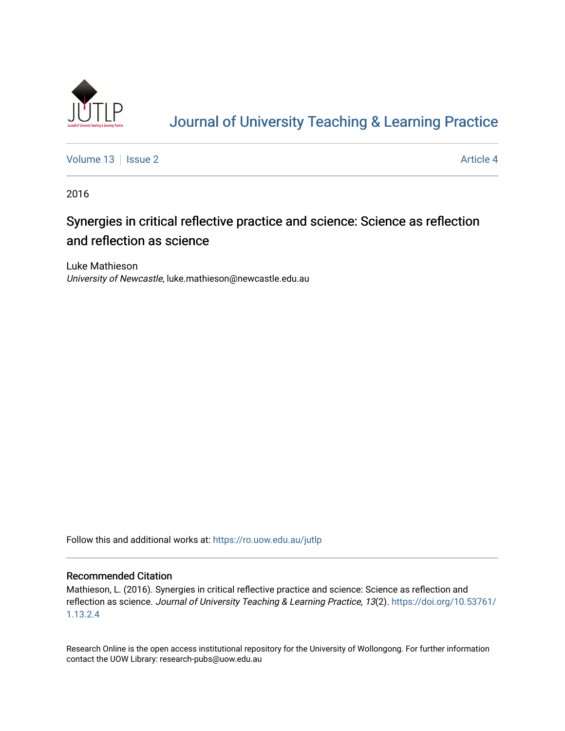

# [Journal of University Teaching & Learning Practice](https://ro.uow.edu.au/jutlp)

[Volume 13](https://ro.uow.edu.au/jutlp/vol13) | [Issue 2](https://ro.uow.edu.au/jutlp/vol13/iss2) Article 4

2016

# Synergies in critical reflective practice and science: Science as reflection and reflection as science

Luke Mathieson University of Newcastle, luke.mathieson@newcastle.edu.au

Follow this and additional works at: [https://ro.uow.edu.au/jutlp](https://ro.uow.edu.au/jutlp?utm_source=ro.uow.edu.au%2Fjutlp%2Fvol13%2Fiss2%2F4&utm_medium=PDF&utm_campaign=PDFCoverPages) 

## Recommended Citation

Mathieson, L. (2016). Synergies in critical reflective practice and science: Science as reflection and reflection as science. Journal of University Teaching & Learning Practice, 13(2). [https://doi.org/10.53761/](https://doi.org/10.53761/1.13.2.4) [1.13.2.4](https://doi.org/10.53761/1.13.2.4) 

Research Online is the open access institutional repository for the University of Wollongong. For further information contact the UOW Library: research-pubs@uow.edu.au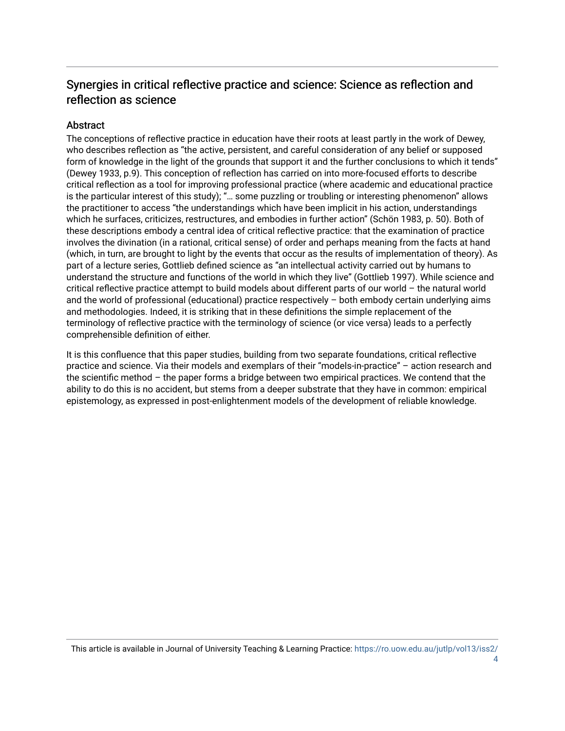# Synergies in critical reflective practice and science: Science as reflection and reflection as science

## **Abstract**

The conceptions of reflective practice in education have their roots at least partly in the work of Dewey, who describes reflection as "the active, persistent, and careful consideration of any belief or supposed form of knowledge in the light of the grounds that support it and the further conclusions to which it tends" (Dewey 1933, p.9). This conception of reflection has carried on into more-focused efforts to describe critical reflection as a tool for improving professional practice (where academic and educational practice is the particular interest of this study); "… some puzzling or troubling or interesting phenomenon" allows the practitioner to access "the understandings which have been implicit in his action, understandings which he surfaces, criticizes, restructures, and embodies in further action" (Schön 1983, p. 50). Both of these descriptions embody a central idea of critical reflective practice: that the examination of practice involves the divination (in a rational, critical sense) of order and perhaps meaning from the facts at hand (which, in turn, are brought to light by the events that occur as the results of implementation of theory). As part of a lecture series, Gottlieb defined science as "an intellectual activity carried out by humans to understand the structure and functions of the world in which they live" (Gottlieb 1997). While science and critical reflective practice attempt to build models about different parts of our world – the natural world and the world of professional (educational) practice respectively – both embody certain underlying aims and methodologies. Indeed, it is striking that in these definitions the simple replacement of the terminology of reflective practice with the terminology of science (or vice versa) leads to a perfectly comprehensible definition of either.

It is this confluence that this paper studies, building from two separate foundations, critical reflective practice and science. Via their models and exemplars of their "models-in-practice" – action research and the scientific method – the paper forms a bridge between two empirical practices. We contend that the ability to do this is no accident, but stems from a deeper substrate that they have in common: empirical epistemology, as expressed in post-enlightenment models of the development of reliable knowledge.

This article is available in Journal of University Teaching & Learning Practice: [https://ro.uow.edu.au/jutlp/vol13/iss2/](https://ro.uow.edu.au/jutlp/vol13/iss2/4) [4](https://ro.uow.edu.au/jutlp/vol13/iss2/4)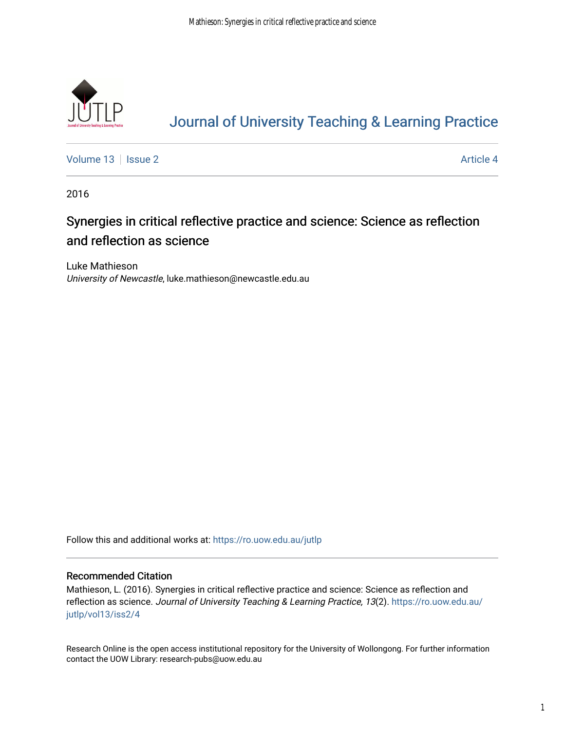

# [Journal of University Teaching & Learning Practice](https://ro.uow.edu.au/jutlp)

[Volume 13](https://ro.uow.edu.au/jutlp/vol13) | [Issue 2](https://ro.uow.edu.au/jutlp/vol13/iss2) Article 4

2016

# Synergies in critical reflective practice and science: Science as reflection and reflection as science

Luke Mathieson University of Newcastle, luke.mathieson@newcastle.edu.au

Follow this and additional works at: [https://ro.uow.edu.au/jutlp](https://ro.uow.edu.au/jutlp?utm_source=ro.uow.edu.au%2Fjutlp%2Fvol13%2Fiss2%2F4&utm_medium=PDF&utm_campaign=PDFCoverPages) 

## Recommended Citation

Mathieson, L. (2016). Synergies in critical reflective practice and science: Science as reflection and reflection as science. Journal of University Teaching & Learning Practice, 13(2). [https://ro.uow.edu.au/](https://ro.uow.edu.au/jutlp/vol13/iss2/4?utm_source=ro.uow.edu.au%2Fjutlp%2Fvol13%2Fiss2%2F4&utm_medium=PDF&utm_campaign=PDFCoverPages) [jutlp/vol13/iss2/4](https://ro.uow.edu.au/jutlp/vol13/iss2/4?utm_source=ro.uow.edu.au%2Fjutlp%2Fvol13%2Fiss2%2F4&utm_medium=PDF&utm_campaign=PDFCoverPages) 

Research Online is the open access institutional repository for the University of Wollongong. For further information contact the UOW Library: research-pubs@uow.edu.au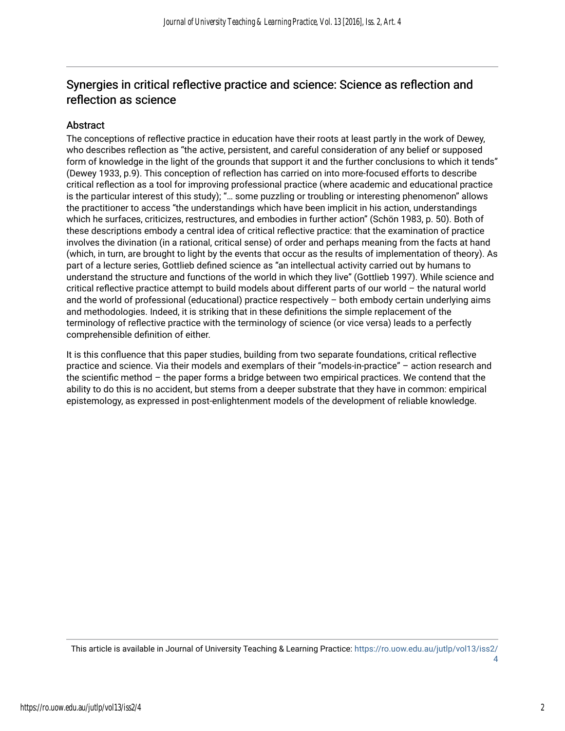# Synergies in critical reflective practice and science: Science as reflection and reflection as science

## Abstract

The conceptions of reflective practice in education have their roots at least partly in the work of Dewey, who describes reflection as "the active, persistent, and careful consideration of any belief or supposed form of knowledge in the light of the grounds that support it and the further conclusions to which it tends" (Dewey 1933, p.9). This conception of reflection has carried on into more-focused efforts to describe critical reflection as a tool for improving professional practice (where academic and educational practice is the particular interest of this study); "… some puzzling or troubling or interesting phenomenon" allows the practitioner to access "the understandings which have been implicit in his action, understandings which he surfaces, criticizes, restructures, and embodies in further action" (Schön 1983, p. 50). Both of these descriptions embody a central idea of critical reflective practice: that the examination of practice involves the divination (in a rational, critical sense) of order and perhaps meaning from the facts at hand (which, in turn, are brought to light by the events that occur as the results of implementation of theory). As part of a lecture series, Gottlieb defined science as "an intellectual activity carried out by humans to understand the structure and functions of the world in which they live" (Gottlieb 1997). While science and critical reflective practice attempt to build models about different parts of our world – the natural world and the world of professional (educational) practice respectively – both embody certain underlying aims and methodologies. Indeed, it is striking that in these definitions the simple replacement of the terminology of reflective practice with the terminology of science (or vice versa) leads to a perfectly comprehensible definition of either.

It is this confluence that this paper studies, building from two separate foundations, critical reflective practice and science. Via their models and exemplars of their "models-in-practice" – action research and the scientific method – the paper forms a bridge between two empirical practices. We contend that the ability to do this is no accident, but stems from a deeper substrate that they have in common: empirical epistemology, as expressed in post-enlightenment models of the development of reliable knowledge.

This article is available in Journal of University Teaching & Learning Practice: [https://ro.uow.edu.au/jutlp/vol13/iss2/](https://ro.uow.edu.au/jutlp/vol13/iss2/4) [4](https://ro.uow.edu.au/jutlp/vol13/iss2/4)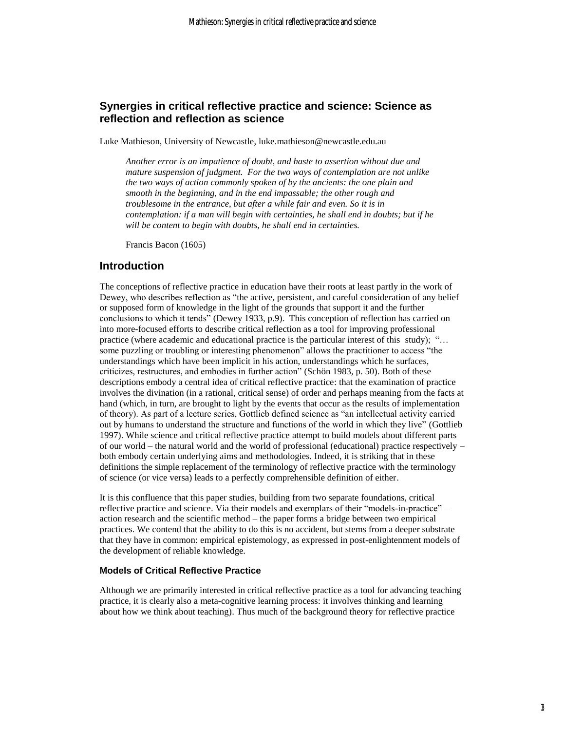## **Synergies in critical reflective practice and science: Science as reflection and reflection as science**

Luke Mathieson, University of Newcastle, luke.mathieson@newcastle.edu.au

*Another error is an impatience of doubt, and haste to assertion without due and mature suspension of judgment. For the two ways of contemplation are not unlike the two ways of action commonly spoken of by the ancients: the one plain and smooth in the beginning, and in the end impassable; the other rough and troublesome in the entrance, but after a while fair and even. So it is in contemplation: if a man will begin with certainties, he shall end in doubts; but if he will be content to begin with doubts, he shall end in certainties.*

Francis Bacon (1605)

### **Introduction**

The conceptions of reflective practice in education have their roots at least partly in the work of Dewey, who describes reflection as "the active, persistent, and careful consideration of any belief or supposed form of knowledge in the light of the grounds that support it and the further conclusions to which it tends" (Dewey 1933, p.9). This conception of reflection has carried on into more-focused efforts to describe critical reflection as a tool for improving professional practice (where academic and educational practice is the particular interest of this study); "… some puzzling or troubling or interesting phenomenon" allows the practitioner to access "the understandings which have been implicit in his action, understandings which he surfaces, criticizes, restructures, and embodies in further action" (Schön 1983, p. 50). Both of these descriptions embody a central idea of critical reflective practice: that the examination of practice involves the divination (in a rational, critical sense) of order and perhaps meaning from the facts at hand (which, in turn, are brought to light by the events that occur as the results of implementation of theory). As part of a lecture series, Gottlieb defined science as "an intellectual activity carried out by humans to understand the structure and functions of the world in which they live" (Gottlieb 1997). While science and critical reflective practice attempt to build models about different parts of our world – the natural world and the world of professional (educational) practice respectively – both embody certain underlying aims and methodologies. Indeed, it is striking that in these definitions the simple replacement of the terminology of reflective practice with the terminology of science (or vice versa) leads to a perfectly comprehensible definition of either.

It is this confluence that this paper studies, building from two separate foundations, critical reflective practice and science. Via their models and exemplars of their "models-in-practice" – action research and the scientific method – the paper forms a bridge between two empirical practices. We contend that the ability to do this is no accident, but stems from a deeper substrate that they have in common: empirical epistemology, as expressed in post-enlightenment models of the development of reliable knowledge.

#### **Models of Critical Reflective Practice**

Although we are primarily interested in critical reflective practice as a tool for advancing teaching practice, it is clearly also a meta-cognitive learning process: it involves thinking and learning about how we think about teaching). Thus much of the background theory for reflective practice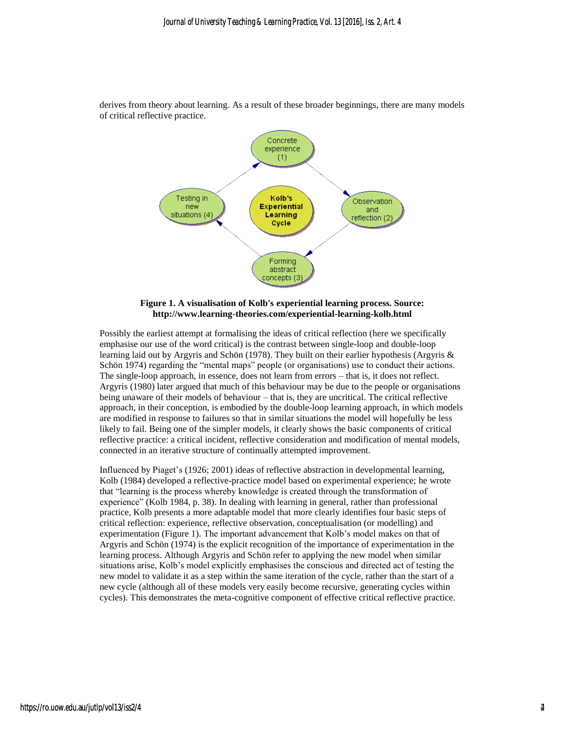

derives from theory about learning. As a result of these broader beginnings, there are many models of critical reflective practice.

#### **Figure 1. A visualisation of Kolb's experiential learning process. Source: http://www.learning-theories.com/experiential-learning-kolb.html**

Possibly the earliest attempt at formalising the ideas of critical reflection (here we specifically emphasise our use of the word critical) is the contrast between single-loop and double-loop learning laid out by Argyris and Schön (1978). They built on their earlier hypothesis (Argyris & Schön 1974) regarding the "mental maps" people (or organisations) use to conduct their actions. The single-loop approach, in essence, does not learn from errors – that is, it does not reflect. Argyris (1980) later argued that much of this behaviour may be due to the people or organisations being unaware of their models of behaviour – that is, they are uncritical. The critical reflective approach, in their conception, is embodied by the double-loop learning approach, in which models are modified in response to failures so that in similar situations the model will hopefully be less likely to fail. Being one of the simpler models, it clearly shows the basic components of critical reflective practice: a critical incident, reflective consideration and modification of mental models, connected in an iterative structure of continually attempted improvement.

Influenced by Piaget's (1926; 2001) ideas of reflective abstraction in developmental learning, Kolb (1984) developed a reflective-practice model based on experimental experience; he wrote that "learning is the process whereby knowledge is created through the transformation of experience" (Kolb 1984, p. 38). In dealing with learning in general, rather than professional practice, Kolb presents a more adaptable model that more clearly identifies four basic steps of critical reflection: experience, reflective observation, conceptualisation (or modelling) and experimentation (Figure 1). The important advancement that Kolb's model makes on that of Argyris and Schön (1974) is the explicit recognition of the importance of experimentation in the learning process. Although Argyris and Schön refer to applying the new model when similar situations arise, Kolb's model explicitly emphasises the conscious and directed act of testing the new model to validate it as a step within the same iteration of the cycle, rather than the start of a new cycle (although all of these models very easily become recursive, generating cycles within cycles). This demonstrates the meta-cognitive component of effective critical reflective practice.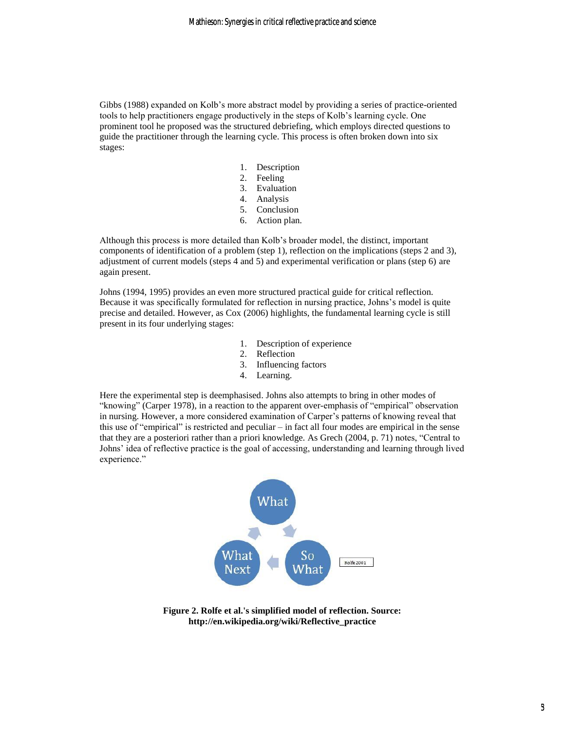Gibbs (1988) expanded on Kolb's more abstract model by providing a series of practice-oriented tools to help practitioners engage productively in the steps of Kolb's learning cycle. One prominent tool he proposed was the structured debriefing, which employs directed questions to guide the practitioner through the learning cycle. This process is often broken down into six stages:

- 1. Description
- 2. Feeling
- 3. Evaluation
- 4. Analysis
- 5. Conclusion
- 6. Action plan.

Although this process is more detailed than Kolb's broader model, the distinct, important components of identification of a problem (step 1), reflection on the implications (steps 2 and 3), adjustment of current models (steps 4 and 5) and experimental verification or plans (step 6) are again present.

Johns (1994, 1995) provides an even more structured practical guide for critical reflection. Because it was specifically formulated for reflection in nursing practice, Johns's model is quite precise and detailed. However, as Cox (2006) highlights, the fundamental learning cycle is still present in its four underlying stages:

- 1. Description of experience
- 2. Reflection
- 3. Influencing factors
- 4. Learning.

Here the experimental step is deemphasised. Johns also attempts to bring in other modes of "knowing" (Carper 1978), in a reaction to the apparent over-emphasis of "empirical" observation in nursing. However, a more considered examination of Carper's patterns of knowing reveal that this use of "empirical" is restricted and peculiar – in fact all four modes are empirical in the sense that they are a posteriori rather than a priori knowledge. As Grech (2004, p. 71) notes, "Central to Johns' idea of reflective practice is the goal of accessing, understanding and learning through lived experience."



**Figure 2. Rolfe et al.'s simplified model of reflection. Source: http://en.wikipedia.org/wiki/Reflective\_practice**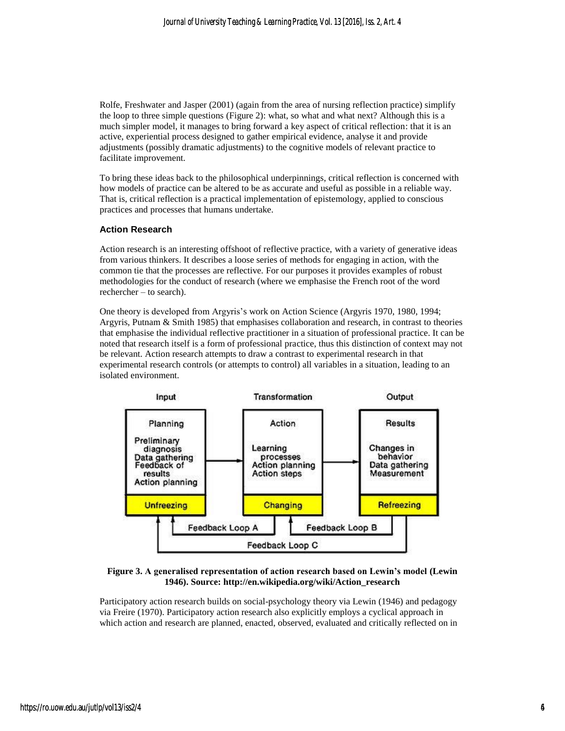Rolfe, Freshwater and Jasper (2001) (again from the area of nursing reflection practice) simplify the loop to three simple questions (Figure 2): what, so what and what next? Although this is a much simpler model, it manages to bring forward a key aspect of critical reflection: that it is an active, experiential process designed to gather empirical evidence, analyse it and provide adjustments (possibly dramatic adjustments) to the cognitive models of relevant practice to facilitate improvement.

To bring these ideas back to the philosophical underpinnings, critical reflection is concerned with how models of practice can be altered to be as accurate and useful as possible in a reliable way. That is, critical reflection is a practical implementation of epistemology, applied to conscious practices and processes that humans undertake.

### **Action Research**

Action research is an interesting offshoot of reflective practice, with a variety of generative ideas from various thinkers. It describes a loose series of methods for engaging in action, with the common tie that the processes are reflective. For our purposes it provides examples of robust methodologies for the conduct of research (where we emphasise the French root of the word rechercher – to search).

One theory is developed from Argyris's work on Action Science (Argyris 1970, 1980, 1994; Argyris, Putnam & Smith 1985) that emphasises collaboration and research, in contrast to theories that emphasise the individual reflective practitioner in a situation of professional practice. It can be noted that research itself is a form of professional practice, thus this distinction of context may not be relevant. Action research attempts to draw a contrast to experimental research in that experimental research controls (or attempts to control) all variables in a situation, leading to an isolated environment.



**Figure 3. A generalised representation of action research based on Lewin's model (Lewin 1946). Source: http://en.wikipedia.org/wiki/Action\_research**

Participatory action research builds on social-psychology theory via Lewin (1946) and pedagogy via Freire (1970). Participatory action research also explicitly employs a cyclical approach in which action and research are planned, enacted, observed, evaluated and critically reflected on in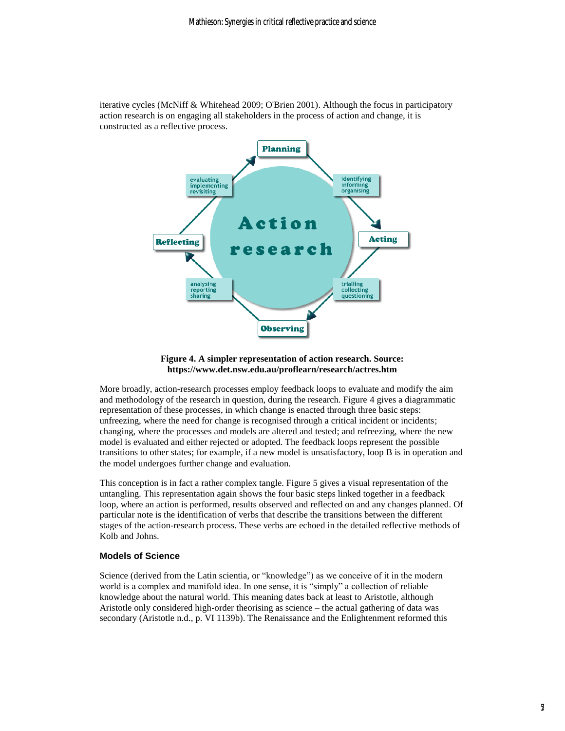iterative cycles (McNiff & Whitehead 2009; O'Brien 2001). Although the focus in participatory action research is on engaging all stakeholders in the process of action and change, it is constructed as a reflective process.



### **Figure 4. A simpler representation of action research. Source: https://www.det.nsw.edu.au/proflearn/research/actres.htm**

More broadly, action-research processes employ feedback loops to evaluate and modify the aim and methodology of the research in question, during the research. Figure 4 gives a diagrammatic representation of these processes, in which change is enacted through three basic steps: unfreezing, where the need for change is recognised through a critical incident or incidents; changing, where the processes and models are altered and tested; and refreezing, where the new model is evaluated and either rejected or adopted. The feedback loops represent the possible transitions to other states; for example, if a new model is unsatisfactory, loop B is in operation and the model undergoes further change and evaluation.

This conception is in fact a rather complex tangle. Figure 5 gives a visual representation of the untangling. This representation again shows the four basic steps linked together in a feedback loop, where an action is performed, results observed and reflected on and any changes planned. Of particular note is the identification of verbs that describe the transitions between the different stages of the action-research process. These verbs are echoed in the detailed reflective methods of Kolb and Johns.

### **Models of Science**

Science (derived from the Latin scientia, or "knowledge") as we conceive of it in the modern world is a complex and manifold idea. In one sense, it is "simply" a collection of reliable knowledge about the natural world. This meaning dates back at least to Aristotle, although Aristotle only considered high-order theorising as science – the actual gathering of data was secondary (Aristotle n.d., p. VI 1139b). The Renaissance and the Enlightenment reformed this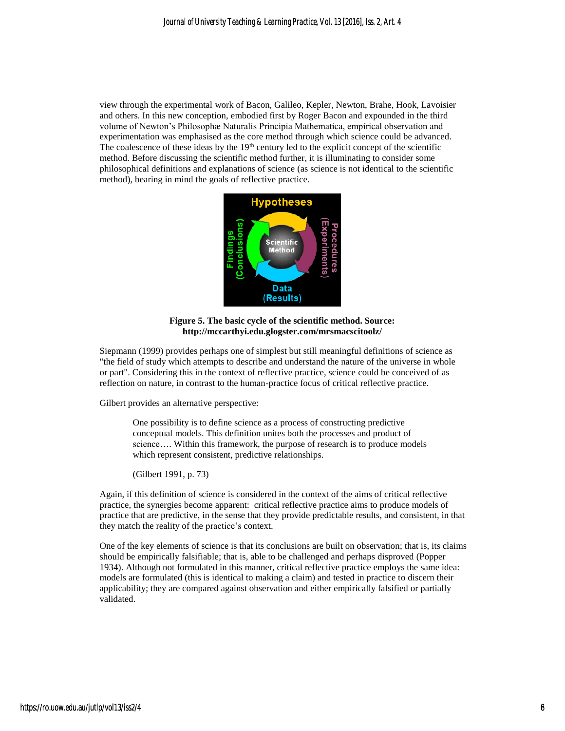view through the experimental work of Bacon, Galileo, Kepler, Newton, Brahe, Hook, Lavoisier and others. In this new conception, embodied first by Roger Bacon and expounded in the third volume of Newton's Philosophæ Naturalis Principia Mathematica, empirical observation and experimentation was emphasised as the core method through which science could be advanced. The coalescence of these ideas by the  $19<sup>th</sup>$  century led to the explicit concept of the scientific method. Before discussing the scientific method further, it is illuminating to consider some philosophical definitions and explanations of science (as science is not identical to the scientific method), bearing in mind the goals of reflective practice.





Siepmann (1999) provides perhaps one of simplest but still meaningful definitions of science as "the field of study which attempts to describe and understand the nature of the universe in whole or part". Considering this in the context of reflective practice, science could be conceived of as reflection on nature, in contrast to the human-practice focus of critical reflective practice.

Gilbert provides an alternative perspective:

One possibility is to define science as a process of constructing predictive conceptual models. This definition unites both the processes and product of science…. Within this framework, the purpose of research is to produce models which represent consistent, predictive relationships.

(Gilbert 1991, p. 73)

Again, if this definition of science is considered in the context of the aims of critical reflective practice, the synergies become apparent: critical reflective practice aims to produce models of practice that are predictive, in the sense that they provide predictable results, and consistent, in that they match the reality of the practice's context.

One of the key elements of science is that its conclusions are built on observation; that is, its claims should be empirically falsifiable; that is, able to be challenged and perhaps disproved (Popper 1934). Although not formulated in this manner, critical reflective practice employs the same idea: models are formulated (this is identical to making a claim) and tested in practice to discern their applicability; they are compared against observation and either empirically falsified or partially validated.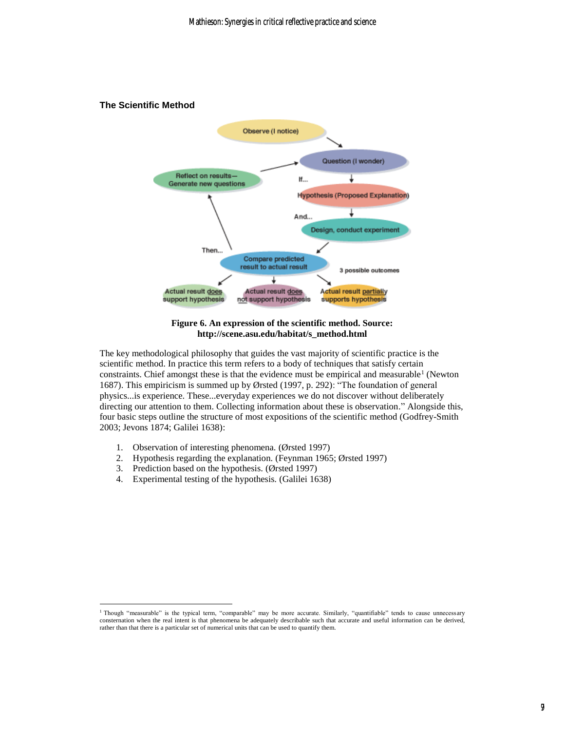#### **The Scientific Method**



**Figure 6. An expression of the scientific method. Source: http://scene.asu.edu/habitat/s\_method.html**

The key methodological philosophy that guides the vast majority of scientific practice is the scientific method. In practice this term refers to a body of techniques that satisfy certain constraints. Chief amongst these is that the evidence must be empirical and measurable<sup>1</sup> (Newton 1687). This empiricism is summed up by Ørsted (1997, p. 292): "The foundation of general physics...is experience. These...everyday experiences we do not discover without deliberately directing our attention to them. Collecting information about these is observation." Alongside this, four basic steps outline the structure of most expositions of the scientific method (Godfrey-Smith 2003; Jevons 1874; Galilei 1638):

- 1. Observation of interesting phenomena. (Ørsted 1997)
- 2. Hypothesis regarding the explanation. (Feynman 1965; Ørsted 1997)
- 3. Prediction based on the hypothesis. (Ørsted 1997)
- 4. Experimental testing of the hypothesis. (Galilei 1638)

<sup>1</sup> <sup>1</sup> Though "measurable" is the typical term, "comparable" may be more accurate. Similarly, "quantifiable" tends to cause unnecessary consternation when the real intent is that phenomena be adequately describable such that accurate and useful information can be derived, rather than that there is a particular set of numerical units that can be used to quantify them.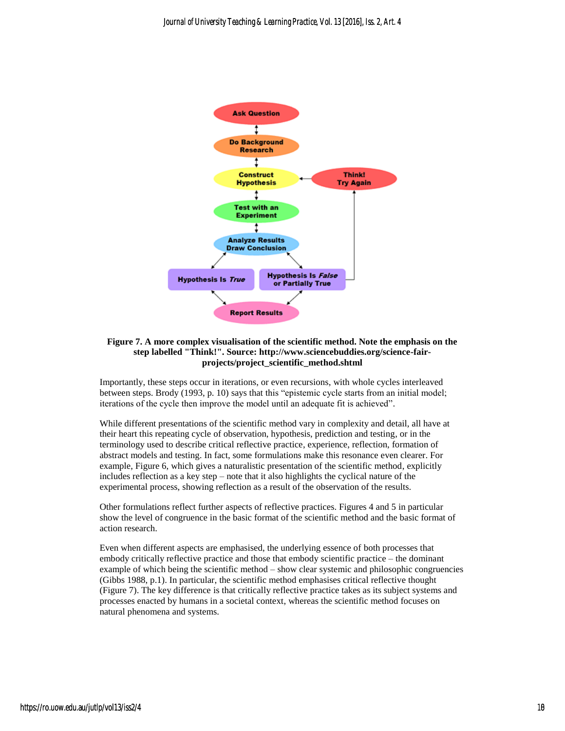

### **Figure 7. A more complex visualisation of the scientific method. Note the emphasis on the step labelled "Think!". Source: http://www.sciencebuddies.org/science-fairprojects/project\_scientific\_method.shtml**

Importantly, these steps occur in iterations, or even recursions, with whole cycles interleaved between steps. Brody (1993, p. 10) says that this "epistemic cycle starts from an initial model; iterations of the cycle then improve the model until an adequate fit is achieved".

While different presentations of the scientific method vary in complexity and detail, all have at their heart this repeating cycle of observation, hypothesis, prediction and testing, or in the terminology used to describe critical reflective practice, experience, reflection, formation of abstract models and testing. In fact, some formulations make this resonance even clearer. For example, Figure 6, which gives a naturalistic presentation of the scientific method, explicitly includes reflection as a key step – note that it also highlights the cyclical nature of the experimental process, showing reflection as a result of the observation of the results.

Other formulations reflect further aspects of reflective practices. Figures 4 and 5 in particular show the level of congruence in the basic format of the scientific method and the basic format of action research.

Even when different aspects are emphasised, the underlying essence of both processes that embody critically reflective practice and those that embody scientific practice – the dominant example of which being the scientific method – show clear systemic and philosophic congruencies (Gibbs 1988, p.1). In particular, the scientific method emphasises critical reflective thought (Figure 7). The key difference is that critically reflective practice takes as its subject systems and processes enacted by humans in a societal context, whereas the scientific method focuses on natural phenomena and systems.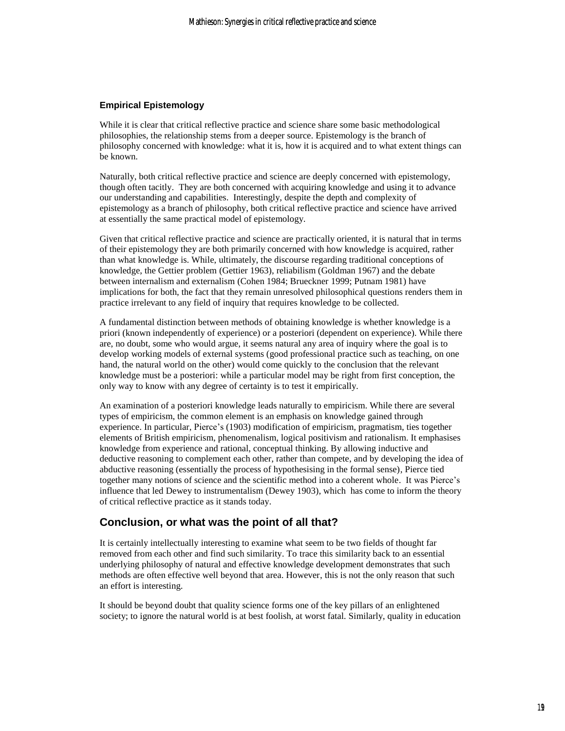#### **Empirical Epistemology**

While it is clear that critical reflective practice and science share some basic methodological philosophies, the relationship stems from a deeper source. Epistemology is the branch of philosophy concerned with knowledge: what it is, how it is acquired and to what extent things can be known.

Naturally, both critical reflective practice and science are deeply concerned with epistemology, though often tacitly. They are both concerned with acquiring knowledge and using it to advance our understanding and capabilities. Interestingly, despite the depth and complexity of epistemology as a branch of philosophy, both critical reflective practice and science have arrived at essentially the same practical model of epistemology.

Given that critical reflective practice and science are practically oriented, it is natural that in terms of their epistemology they are both primarily concerned with how knowledge is acquired, rather than what knowledge is. While, ultimately, the discourse regarding traditional conceptions of knowledge, the Gettier problem (Gettier 1963), reliabilism (Goldman 1967) and the debate between internalism and externalism (Cohen 1984; Brueckner 1999; Putnam 1981) have implications for both, the fact that they remain unresolved philosophical questions renders them in practice irrelevant to any field of inquiry that requires knowledge to be collected.

A fundamental distinction between methods of obtaining knowledge is whether knowledge is a priori (known independently of experience) or a posteriori (dependent on experience). While there are, no doubt, some who would argue, it seems natural any area of inquiry where the goal is to develop working models of external systems (good professional practice such as teaching, on one hand, the natural world on the other) would come quickly to the conclusion that the relevant knowledge must be a posteriori: while a particular model may be right from first conception, the only way to know with any degree of certainty is to test it empirically.

An examination of a posteriori knowledge leads naturally to empiricism. While there are several types of empiricism, the common element is an emphasis on knowledge gained through experience. In particular, Pierce's (1903) modification of empiricism, pragmatism, ties together elements of British empiricism, phenomenalism, logical positivism and rationalism. It emphasises knowledge from experience and rational, conceptual thinking. By allowing inductive and deductive reasoning to complement each other, rather than compete, and by developing the idea of abductive reasoning (essentially the process of hypothesising in the formal sense), Pierce tied together many notions of science and the scientific method into a coherent whole. It was Pierce's influence that led Dewey to instrumentalism (Dewey 1903), which has come to inform the theory of critical reflective practice as it stands today.

## **Conclusion, or what was the point of all that?**

It is certainly intellectually interesting to examine what seem to be two fields of thought far removed from each other and find such similarity. To trace this similarity back to an essential underlying philosophy of natural and effective knowledge development demonstrates that such methods are often effective well beyond that area. However, this is not the only reason that such an effort is interesting.

It should be beyond doubt that quality science forms one of the key pillars of an enlightened society; to ignore the natural world is at best foolish, at worst fatal. Similarly, quality in education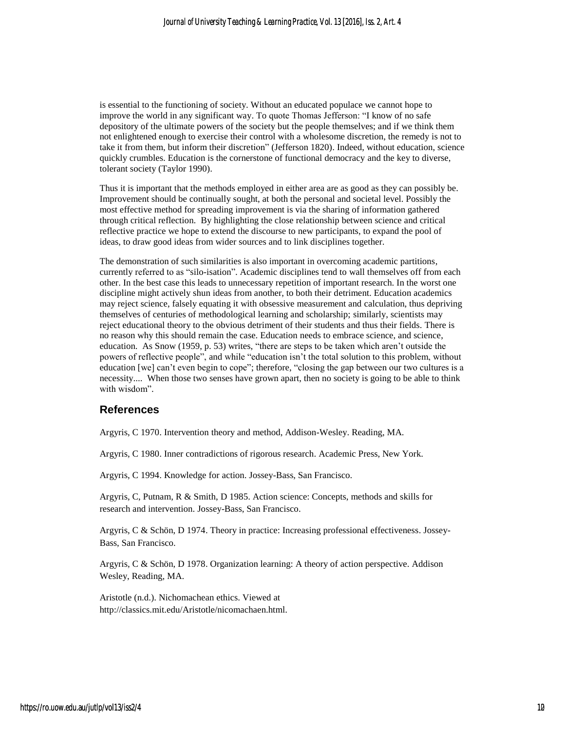is essential to the functioning of society. Without an educated populace we cannot hope to improve the world in any significant way. To quote Thomas Jefferson: "I know of no safe depository of the ultimate powers of the society but the people themselves; and if we think them not enlightened enough to exercise their control with a wholesome discretion, the remedy is not to take it from them, but inform their discretion" (Jefferson 1820). Indeed, without education, science quickly crumbles. Education is the cornerstone of functional democracy and the key to diverse, tolerant society (Taylor 1990).

Thus it is important that the methods employed in either area are as good as they can possibly be. Improvement should be continually sought, at both the personal and societal level. Possibly the most effective method for spreading improvement is via the sharing of information gathered through critical reflection. By highlighting the close relationship between science and critical reflective practice we hope to extend the discourse to new participants, to expand the pool of ideas, to draw good ideas from wider sources and to link disciplines together.

The demonstration of such similarities is also important in overcoming academic partitions, currently referred to as "silo-isation". Academic disciplines tend to wall themselves off from each other. In the best case this leads to unnecessary repetition of important research. In the worst one discipline might actively shun ideas from another, to both their detriment. Education academics may reject science, falsely equating it with obsessive measurement and calculation, thus depriving themselves of centuries of methodological learning and scholarship; similarly, scientists may reject educational theory to the obvious detriment of their students and thus their fields. There is no reason why this should remain the case. Education needs to embrace science, and science, education. As Snow (1959, p. 53) writes, "there are steps to be taken which aren't outside the powers of reflective people", and while "education isn't the total solution to this problem, without education [we] can't even begin to cope"; therefore, "closing the gap between our two cultures is a necessity.... When those two senses have grown apart, then no society is going to be able to think with wisdom".

## **References**

Argyris, C 1970. Intervention theory and method, Addison-Wesley. Reading, MA.

Argyris, C 1980. Inner contradictions of rigorous research. Academic Press, New York.

Argyris, C 1994. Knowledge for action. Jossey-Bass, San Francisco.

Argyris, C, Putnam, R & Smith, D 1985. Action science: Concepts, methods and skills for research and intervention. Jossey-Bass, San Francisco.

Argyris, C & Schön, D 1974. Theory in practice: Increasing professional effectiveness. Jossey-Bass, San Francisco.

Argyris, C & Schön, D 1978. Organization learning: A theory of action perspective. Addison Wesley, Reading, MA.

Aristotle (n.d.). Nichomachean ethics. Viewed at http://classics.mit.edu/Aristotle/nicomachaen.html.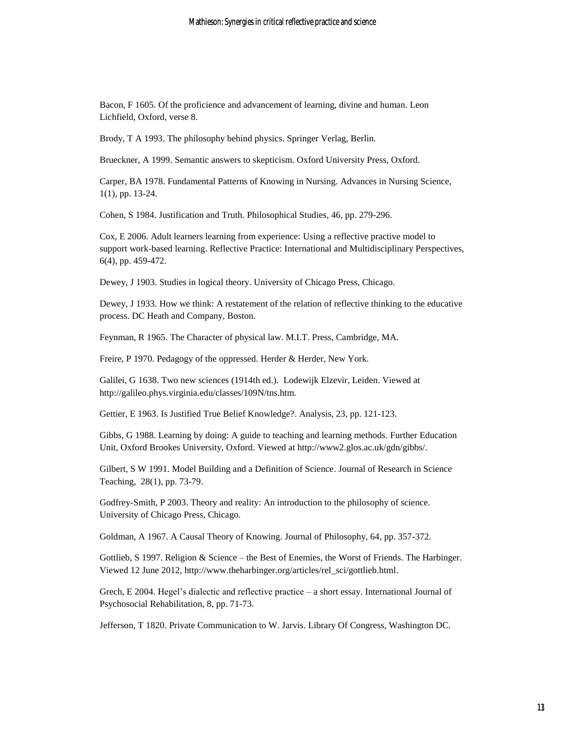Bacon, F 1605. Of the proficience and advancement of learning, divine and human. Leon Lichfield, Oxford, verse 8.

Brody, T A 1993. The philosophy behind physics. Springer Verlag, Berlin.

Brueckner, A 1999. Semantic answers to skepticism. Oxford University Press, Oxford.

Carper, BA 1978. Fundamental Patterns of Knowing in Nursing. Advances in Nursing Science, 1(1), pp. 13-24.

Cohen, S 1984. Justification and Truth. Philosophical Studies, 46, pp. 279-296.

Cox, E 2006. Adult learners learning from experience: Using a reflective practive model to support work-based learning. Reflective Practice: International and Multidisciplinary Perspectives, 6(4), pp. 459-472.

Dewey, J 1903. Studies in logical theory. University of Chicago Press, Chicago.

Dewey, J 1933. How we think: A restatement of the relation of reflective thinking to the educative process. DC Heath and Company, Boston.

Feynman, R 1965. The Character of physical law. M.I.T. Press, Cambridge, MA.

Freire, P 1970. Pedagogy of the oppressed. Herder & Herder, New York.

Galilei, G 1638. Two new sciences (1914th ed.). Lodewijk Elzevir, Leiden. Viewed at http://galileo.phys.virginia.edu/classes/109N/tns.htm.

Gettier, E 1963. Is Justified True Belief Knowledge?. Analysis, 23, pp. 121-123.

Gibbs, G 1988. Learning by doing: A guide to teaching and learning methods. Further Education Unit, Oxford Brookes University, Oxford. Viewed at http://www2.glos.ac.uk/gdn/gibbs/.

Gilbert, S W 1991. Model Building and a Definition of Science. Journal of Research in Science Teaching, 28(1), pp. 73-79.

Godfrey-Smith, P 2003. Theory and reality: An introduction to the philosophy of science. University of Chicago Press, Chicago.

Goldman, A 1967. A Causal Theory of Knowing. Journal of Philosophy, 64, pp. 357-372.

Gottlieb, S 1997. Religion & Science – the Best of Enemies, the Worst of Friends. The Harbinger. Viewed 12 June 2012, [http://www.theharbinger.org/articles/rel\\_sci/gottlieb.html.](http://www.theharbinger.org/articles/rel_sci/gottlieb.html)

Grech, E 2004. Hegel's dialectic and reflective practice – a short essay. International Journal of Psychosocial Rehabilitation, 8, pp. 71-73.

Jefferson, T 1820. Private Communication to W. Jarvis. Library Of Congress, Washington DC.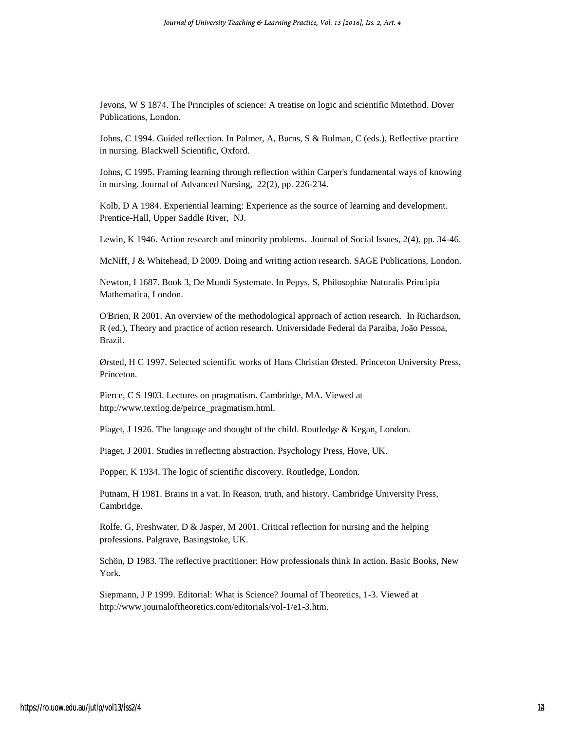Jevons, W S 1874. The Principles of science: A treatise on logic and scientific Mmethod. Dover Publications, London.

Johns, C 1994. Guided reflection. In Palmer, A, Burns, S & Bulman, C (eds.), Reflective practice in nursing. Blackwell Scientific, Oxford.

Johns, C 1995. Framing learning through reflection within Carper's fundamental ways of knowing in nursing. Journal of Advanced Nursing, 22(2), pp. 226-234.

Kolb, D A 1984. Experiential learning: Experience as the source of learning and development. Prentice-Hall, Upper Saddle River, NJ.

Lewin, K 1946. Action research and minority problems. Journal of Social Issues, 2(4), pp. 34-46.

McNiff, J & Whitehead, D 2009. Doing and writing action research. SAGE Publications, London.

Newton, I 1687. Book 3, De Mundi Systemate. In Pepys, S, Philosophiæ Naturalis Principia Mathematica, London.

O'Brien, R 2001. An overview of the methodological approach of action research. In Richardson, R (ed.), Theory and practice of action research. Universidade Federal da Paraíba, João Pessoa, Brazil.

Ørsted, H C 1997. Selected scientific works of Hans Christian Ørsted. Princeton University Press, Princeton.

Pierce, C S 1903. Lectures on pragmatism. Cambridge, MA. Viewed at http://www.textlog.de/peirce\_pragmatism.html.

Piaget, J 1926. The language and thought of the child. Routledge & Kegan, London.

Piaget, J 2001. Studies in reflecting abstraction. Psychology Press, Hove, UK.

Popper, K 1934. The logic of scientific discovery. Routledge, London.

Putnam, H 1981. Brains in a vat. In Reason, truth, and history. Cambridge University Press, Cambridge.

Rolfe, G, Freshwater, D & Jasper, M 2001. Critical reflection for nursing and the helping professions. Palgrave, Basingstoke, UK.

Schön, D 1983. The reflective practitioner: How professionals think In action. Basic Books, New York.

Siepmann, J P 1999. Editorial: What is Science? Journal of Theoretics, 1-3. Viewed at http://www.journaloftheoretics.com/editorials/vol-1/e1-3.htm.